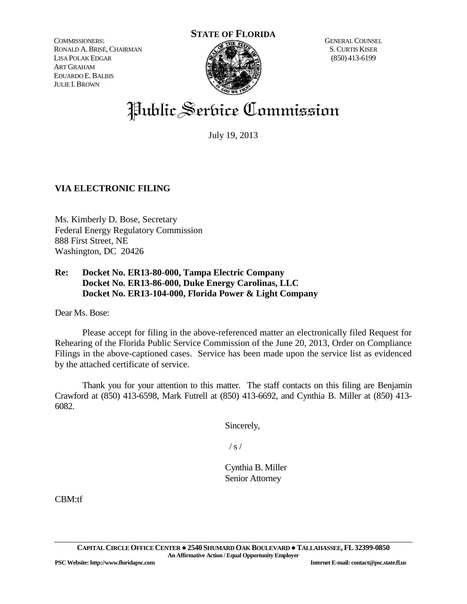COMMISSIONERS: RONALD A.BRISÉ,CHAIRMAN LISA POLAK EDGAR ART GRAHAM EDUARDO E.BALBIS JULIE I.BROWN



GENERAL COUNSEL S.CURTIS KISER (850) 413-6199

# Public Service Commission

July 19, 2013

# **VIA ELECTRONIC FILING**

Ms. Kimberly D. Bose, Secretary Federal Energy Regulatory Commission 888 First Street, NE Washington, DC 20426

# **Re: Docket No. ER13-80-000, Tampa Electric Company Docket No. ER13-86-000, Duke Energy Carolinas, LLC Docket No. ER13-104-000, Florida Power & Light Company**

Dear Ms. Bose:

Please accept for filing in the above-referenced matter an electronically filed Request for Rehearing of the Florida Public Service Commission of the June 20, 2013, Order on Compliance Filings in the above-captioned cases. Service has been made upon the service list as evidenced by the attached certificate of service.

Thank you for your attention to this matter. The staff contacts on this filing are Benjamin Crawford at (850) 413-6598, Mark Futrell at (850) 413-6692, and Cynthia B. Miller at (850) 413- 6082.

Sincerely,

 $/ s /$ 

Cynthia B. Miller Senior Attorney

CBM:tf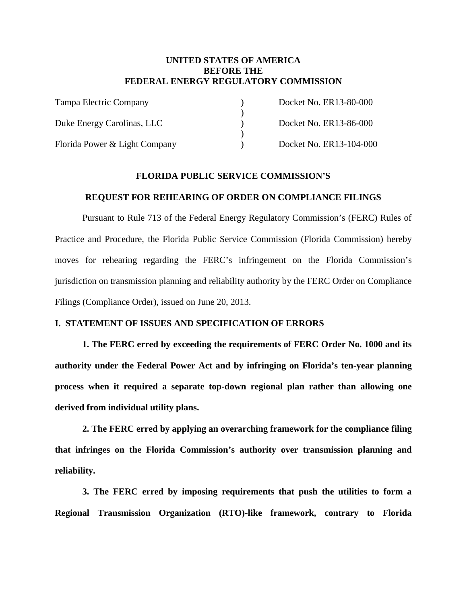# **UNITED STATES OF AMERICA BEFORE THE FEDERAL ENERGY REGULATORY COMMISSION**

| Tampa Electric Company        | Docket No. ER13-80-000  |
|-------------------------------|-------------------------|
|                               |                         |
| Duke Energy Carolinas, LLC    | Docket No. ER13-86-000  |
|                               |                         |
| Florida Power & Light Company | Docket No. ER13-104-000 |

# **FLORIDA PUBLIC SERVICE COMMISSION'S**

## **REQUEST FOR REHEARING OF ORDER ON COMPLIANCE FILINGS**

Pursuant to Rule 713 of the Federal Energy Regulatory Commission's (FERC) Rules of Practice and Procedure, the Florida Public Service Commission (Florida Commission) hereby moves for rehearing regarding the FERC's infringement on the Florida Commission's jurisdiction on transmission planning and reliability authority by the FERC Order on Compliance Filings (Compliance Order), issued on June 20, 2013.

# **I. STATEMENT OF ISSUES AND SPECIFICATION OF ERRORS**

**1. The FERC erred by exceeding the requirements of FERC Order No. 1000 and its authority under the Federal Power Act and by infringing on Florida's ten-year planning process when it required a separate top-down regional plan rather than allowing one derived from individual utility plans.**

**2. The FERC erred by applying an overarching framework for the compliance filing that infringes on the Florida Commission's authority over transmission planning and reliability.** 

**3. The FERC erred by imposing requirements that push the utilities to form a Regional Transmission Organization (RTO)-like framework, contrary to Florida**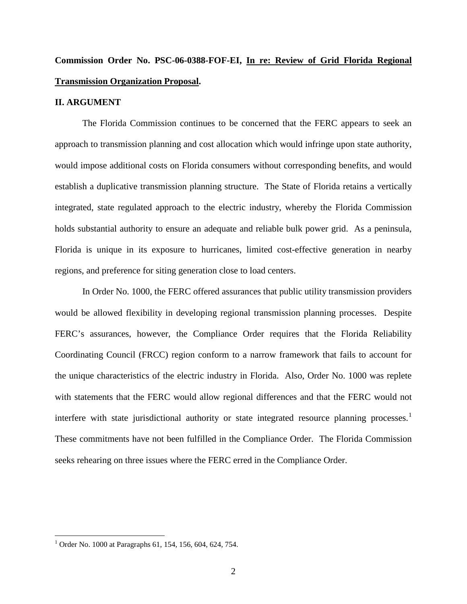# **Commission Order No. PSC-06-0388-FOF-EI, In re: Review of Grid Florida Regional Transmission Organization Proposal.**

#### **II. ARGUMENT**

The Florida Commission continues to be concerned that the FERC appears to seek an approach to transmission planning and cost allocation which would infringe upon state authority, would impose additional costs on Florida consumers without corresponding benefits, and would establish a duplicative transmission planning structure. The State of Florida retains a vertically integrated, state regulated approach to the electric industry, whereby the Florida Commission holds substantial authority to ensure an adequate and reliable bulk power grid. As a peninsula, Florida is unique in its exposure to hurricanes, limited cost-effective generation in nearby regions, and preference for siting generation close to load centers.

In Order No. 1000, the FERC offered assurances that public utility transmission providers would be allowed flexibility in developing regional transmission planning processes. Despite FERC's assurances, however, the Compliance Order requires that the Florida Reliability Coordinating Council (FRCC) region conform to a narrow framework that fails to account for the unique characteristics of the electric industry in Florida. Also, Order No. 1000 was replete with statements that the FERC would allow regional differences and that the FERC would not interfere with state jurisdictional authority or state integrated resource planning processes.<sup>[1](#page-2-0)</sup> These commitments have not been fulfilled in the Compliance Order. The Florida Commission seeks rehearing on three issues where the FERC erred in the Compliance Order.

<span id="page-2-0"></span><sup>&</sup>lt;sup>1</sup> Order No. 1000 at Paragraphs 61, 154, 156, 604, 624, 754.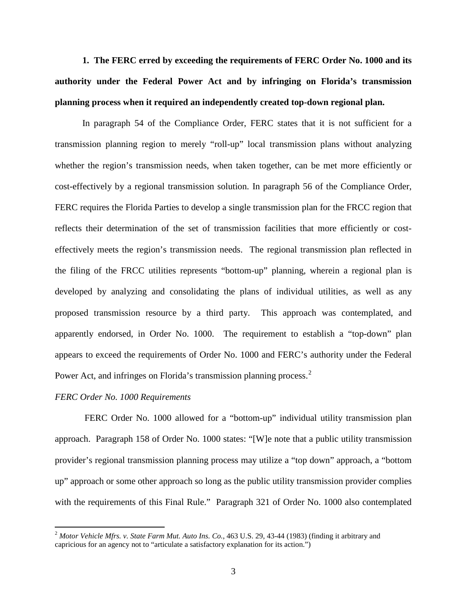**1. The FERC erred by exceeding the requirements of FERC Order No. 1000 and its authority under the Federal Power Act and by infringing on Florida's transmission planning process when it required an independently created top-down regional plan.**

In paragraph 54 of the Compliance Order, FERC states that it is not sufficient for a transmission planning region to merely "roll-up" local transmission plans without analyzing whether the region's transmission needs, when taken together, can be met more efficiently or cost-effectively by a regional transmission solution. In paragraph 56 of the Compliance Order, FERC requires the Florida Parties to develop a single transmission plan for the FRCC region that reflects their determination of the set of transmission facilities that more efficiently or costeffectively meets the region's transmission needs. The regional transmission plan reflected in the filing of the FRCC utilities represents "bottom-up" planning, wherein a regional plan is developed by analyzing and consolidating the plans of individual utilities, as well as any proposed transmission resource by a third party. This approach was contemplated, and apparently endorsed, in Order No. 1000. The requirement to establish a "top-down" plan appears to exceed the requirements of Order No. 1000 and FERC's authority under the Federal Power Act, and infringes on Florida's transmission planning process.<sup>[2](#page-3-0)</sup>

#### *FERC Order No. 1000 Requirements*

FERC Order No. 1000 allowed for a "bottom-up" individual utility transmission plan approach. Paragraph 158 of Order No. 1000 states: "[W]e note that a public utility transmission provider's regional transmission planning process may utilize a "top down" approach, a "bottom up" approach or some other approach so long as the public utility transmission provider complies with the requirements of this Final Rule." Paragraph 321 of Order No. 1000 also contemplated

<span id="page-3-0"></span> <sup>2</sup> *Motor Vehicle Mfrs. v. State Farm Mut. Auto Ins. Co.*, 463 U.S. 29, 43-44 (1983) (finding it arbitrary and capricious for an agency not to "articulate a satisfactory explanation for its action.")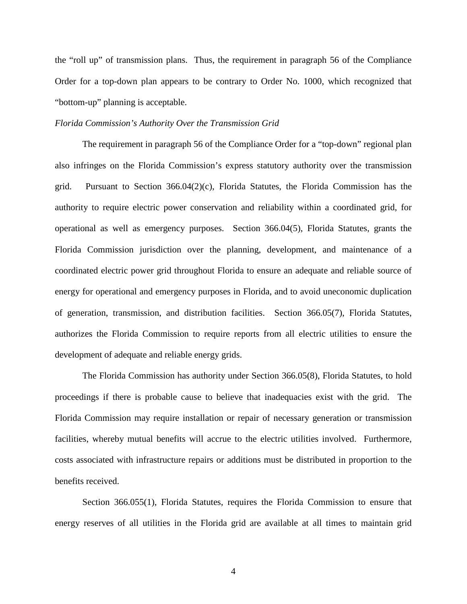the "roll up" of transmission plans. Thus, the requirement in paragraph 56 of the Compliance Order for a top-down plan appears to be contrary to Order No. 1000, which recognized that "bottom-up" planning is acceptable.

#### *Florida Commission's Authority Over the Transmission Grid*

The requirement in paragraph 56 of the Compliance Order for a "top-down" regional plan also infringes on the Florida Commission's express statutory authority over the transmission grid. Pursuant to Section 366.04(2)(c), Florida Statutes, the Florida Commission has the authority to require electric power conservation and reliability within a coordinated grid, for operational as well as emergency purposes. Section 366.04(5), Florida Statutes, grants the Florida Commission jurisdiction over the planning, development, and maintenance of a coordinated electric power grid throughout Florida to ensure an adequate and reliable source of energy for operational and emergency purposes in Florida, and to avoid uneconomic duplication of generation, transmission, and distribution facilities. Section 366.05(7), Florida Statutes, authorizes the Florida Commission to require reports from all electric utilities to ensure the development of adequate and reliable energy grids.

The Florida Commission has authority under Section 366.05(8), Florida Statutes, to hold proceedings if there is probable cause to believe that inadequacies exist with the grid. The Florida Commission may require installation or repair of necessary generation or transmission facilities, whereby mutual benefits will accrue to the electric utilities involved. Furthermore, costs associated with infrastructure repairs or additions must be distributed in proportion to the benefits received.

Section 366.055(1), Florida Statutes, requires the Florida Commission to ensure that energy reserves of all utilities in the Florida grid are available at all times to maintain grid

4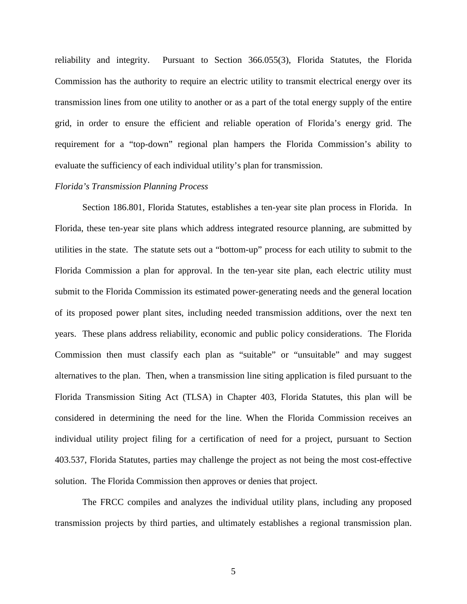reliability and integrity. Pursuant to Section 366.055(3), Florida Statutes, the Florida Commission has the authority to require an electric utility to transmit electrical energy over its transmission lines from one utility to another or as a part of the total energy supply of the entire grid, in order to ensure the efficient and reliable operation of Florida's energy grid. The requirement for a "top-down" regional plan hampers the Florida Commission's ability to evaluate the sufficiency of each individual utility's plan for transmission.

#### *Florida's Transmission Planning Process*

Section 186.801, Florida Statutes, establishes a ten-year site plan process in Florida. In Florida, these ten-year site plans which address integrated resource planning, are submitted by utilities in the state. The statute sets out a "bottom-up" process for each utility to submit to the Florida Commission a plan for approval. In the ten-year site plan, each electric utility must submit to the Florida Commission its estimated power-generating needs and the general location of its proposed power plant sites, including needed transmission additions, over the next ten years. These plans address reliability, economic and public policy considerations. The Florida Commission then must classify each plan as "suitable" or "unsuitable" and may suggest alternatives to the plan. Then, when a transmission line siting application is filed pursuant to the Florida Transmission Siting Act (TLSA) in Chapter 403, Florida Statutes, this plan will be considered in determining the need for the line. When the Florida Commission receives an individual utility project filing for a certification of need for a project, pursuant to Section 403.537, Florida Statutes, parties may challenge the project as not being the most cost-effective solution. The Florida Commission then approves or denies that project.

The FRCC compiles and analyzes the individual utility plans, including any proposed transmission projects by third parties, and ultimately establishes a regional transmission plan.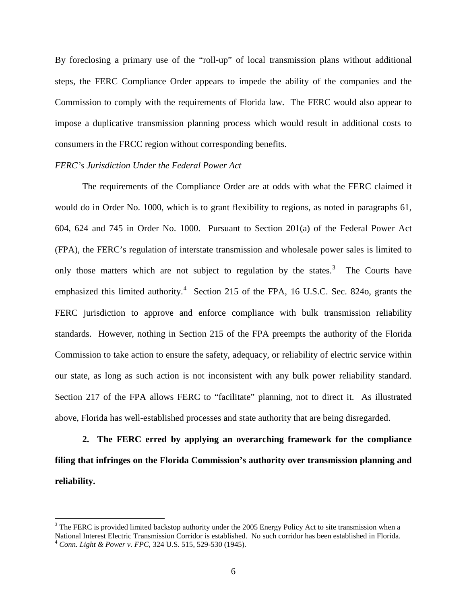By foreclosing a primary use of the "roll-up" of local transmission plans without additional steps, the FERC Compliance Order appears to impede the ability of the companies and the Commission to comply with the requirements of Florida law. The FERC would also appear to impose a duplicative transmission planning process which would result in additional costs to consumers in the FRCC region without corresponding benefits.

#### *FERC's Jurisdiction Under the Federal Power Act*

The requirements of the Compliance Order are at odds with what the FERC claimed it would do in Order No. 1000, which is to grant flexibility to regions, as noted in paragraphs 61, 604, 624 and 745 in Order No. 1000. Pursuant to Section 201(a) of the Federal Power Act (FPA), the FERC's regulation of interstate transmission and wholesale power sales is limited to only those matters which are not subject to regulation by the states. $3$  The Courts have emphasized this limited authority.<sup>[4](#page-6-1)</sup> Section 215 of the FPA, 16 U.S.C. Sec. 824o, grants the FERC jurisdiction to approve and enforce compliance with bulk transmission reliability standards. However, nothing in Section 215 of the FPA preempts the authority of the Florida Commission to take action to ensure the safety, adequacy, or reliability of electric service within our state, as long as such action is not inconsistent with any bulk power reliability standard. Section 217 of the FPA allows FERC to "facilitate" planning, not to direct it. As illustrated above, Florida has well-established processes and state authority that are being disregarded.

**2. The FERC erred by applying an overarching framework for the compliance filing that infringes on the Florida Commission's authority over transmission planning and reliability.**

<span id="page-6-1"></span><span id="page-6-0"></span> $3$  The FERC is provided limited backstop authority under the 2005 Energy Policy Act to site transmission when a National Interest Electric Transmission Corridor is established. No such corridor has been established in Florida. <sup>4</sup> *Conn. Light & Power v. FPC*, 324 U.S. 515, 529-530 (1945).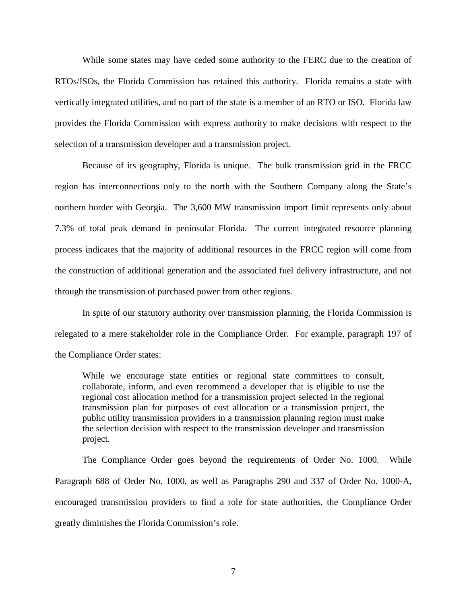While some states may have ceded some authority to the FERC due to the creation of RTOs/ISOs, the Florida Commission has retained this authority. Florida remains a state with vertically integrated utilities, and no part of the state is a member of an RTO or ISO. Florida law provides the Florida Commission with express authority to make decisions with respect to the selection of a transmission developer and a transmission project.

Because of its geography, Florida is unique. The bulk transmission grid in the FRCC region has interconnections only to the north with the Southern Company along the State's northern border with Georgia. The 3,600 MW transmission import limit represents only about 7.3% of total peak demand in peninsular Florida. The current integrated resource planning process indicates that the majority of additional resources in the FRCC region will come from the construction of additional generation and the associated fuel delivery infrastructure, and not through the transmission of purchased power from other regions.

In spite of our statutory authority over transmission planning, the Florida Commission is relegated to a mere stakeholder role in the Compliance Order. For example, paragraph 197 of the Compliance Order states:

While we encourage state entities or regional state committees to consult, collaborate, inform, and even recommend a developer that is eligible to use the regional cost allocation method for a transmission project selected in the regional transmission plan for purposes of cost allocation or a transmission project, the public utility transmission providers in a transmission planning region must make the selection decision with respect to the transmission developer and transmission project.

The Compliance Order goes beyond the requirements of Order No. 1000. While Paragraph 688 of Order No. 1000, as well as Paragraphs 290 and 337 of Order No. 1000-A, encouraged transmission providers to find a role for state authorities, the Compliance Order greatly diminishes the Florida Commission's role.

7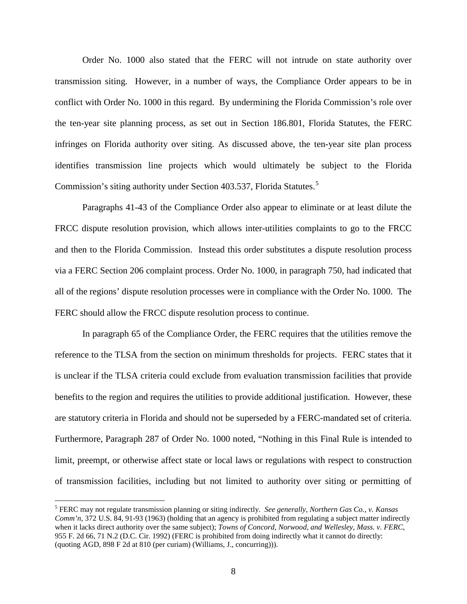Order No. 1000 also stated that the FERC will not intrude on state authority over transmission siting. However, in a number of ways, the Compliance Order appears to be in conflict with Order No. 1000 in this regard. By undermining the Florida Commission's role over the ten-year site planning process, as set out in Section 186.801, Florida Statutes, the FERC infringes on Florida authority over siting. As discussed above, the ten-year site plan process identifies transmission line projects which would ultimately be subject to the Florida Commission's siting authority under Section 403.[5](#page-8-0)37, Florida Statutes.<sup>5</sup>

Paragraphs 41-43 of the Compliance Order also appear to eliminate or at least dilute the FRCC dispute resolution provision, which allows inter-utilities complaints to go to the FRCC and then to the Florida Commission. Instead this order substitutes a dispute resolution process via a FERC Section 206 complaint process. Order No. 1000, in paragraph 750, had indicated that all of the regions' dispute resolution processes were in compliance with the Order No. 1000. The FERC should allow the FRCC dispute resolution process to continue.

In paragraph 65 of the Compliance Order, the FERC requires that the utilities remove the reference to the TLSA from the section on minimum thresholds for projects. FERC states that it is unclear if the TLSA criteria could exclude from evaluation transmission facilities that provide benefits to the region and requires the utilities to provide additional justification. However, these are statutory criteria in Florida and should not be superseded by a FERC-mandated set of criteria. Furthermore, Paragraph 287 of Order No. 1000 noted, "Nothing in this Final Rule is intended to limit, preempt, or otherwise affect state or local laws or regulations with respect to construction of transmission facilities, including but not limited to authority over siting or permitting of

<span id="page-8-0"></span> <sup>5</sup> FERC may not regulate transmission planning or siting indirectly. *See generally, Northern Gas Co., v. Kansas Comm'n*, 372 U.S. 84, 91-93 (1963) (holding that an agency is prohibited from regulating a subject matter indirectly when it lacks direct authority over the same subject); *Towns of Concord, Norwood, and Wellesley, Mass. v. FERC*, 955 F. 2d 66, 71 N.2 (D.C. Cir. 1992) (FERC is prohibited from doing indirectly what it cannot do directly: (quoting AGD, 898 F 2d at 810 (per curiam) (Williams, J., concurring))).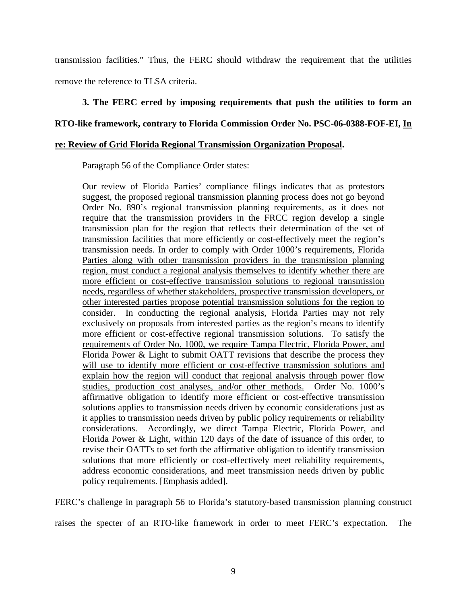transmission facilities." Thus, the FERC should withdraw the requirement that the utilities remove the reference to TLSA criteria.

# **3. The FERC erred by imposing requirements that push the utilities to form an**

# **RTO-like framework, contrary to Florida Commission Order No. PSC-06-0388-FOF-EI, In**

# **re: Review of Grid Florida Regional Transmission Organization Proposal.**

Paragraph 56 of the Compliance Order states:

Our review of Florida Parties' compliance filings indicates that as protestors suggest, the proposed regional transmission planning process does not go beyond Order No. 890's regional transmission planning requirements, as it does not require that the transmission providers in the FRCC region develop a single transmission plan for the region that reflects their determination of the set of transmission facilities that more efficiently or cost-effectively meet the region's transmission needs. In order to comply with Order 1000's requirements, Florida Parties along with other transmission providers in the transmission planning region, must conduct a regional analysis themselves to identify whether there are more efficient or cost-effective transmission solutions to regional transmission needs, regardless of whether stakeholders, prospective transmission developers, or other interested parties propose potential transmission solutions for the region to consider. In conducting the regional analysis, Florida Parties may not rely exclusively on proposals from interested parties as the region's means to identify more efficient or cost-effective regional transmission solutions. To satisfy the requirements of Order No. 1000, we require Tampa Electric, Florida Power, and Florida Power & Light to submit OATT revisions that describe the process they will use to identify more efficient or cost-effective transmission solutions and explain how the region will conduct that regional analysis through power flow studies, production cost analyses, and/or other methods. Order No. 1000's affirmative obligation to identify more efficient or cost-effective transmission solutions applies to transmission needs driven by economic considerations just as it applies to transmission needs driven by public policy requirements or reliability considerations. Accordingly, we direct Tampa Electric, Florida Power, and Florida Power & Light, within 120 days of the date of issuance of this order, to revise their OATTs to set forth the affirmative obligation to identify transmission solutions that more efficiently or cost-effectively meet reliability requirements, address economic considerations, and meet transmission needs driven by public policy requirements. [Emphasis added].

FERC's challenge in paragraph 56 to Florida's statutory-based transmission planning construct raises the specter of an RTO-like framework in order to meet FERC's expectation. The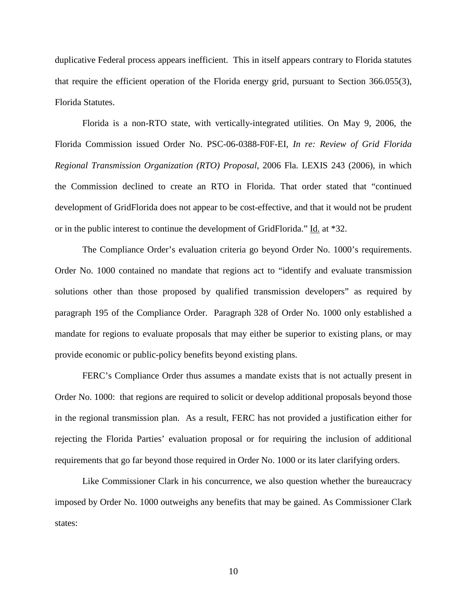duplicative Federal process appears inefficient. This in itself appears contrary to Florida statutes that require the efficient operation of the Florida energy grid, pursuant to Section 366.055(3), Florida Statutes.

Florida is a non-RTO state, with vertically-integrated utilities. On May 9, 2006, the Florida Commission issued Order No. PSC-06-0388-F0F-EI, *In re: Review of Grid Florida Regional Transmission Organization (RTO) Proposal*, 2006 Fla. LEXIS 243 (2006), in which the Commission declined to create an RTO in Florida. That order stated that "continued development of GridFlorida does not appear to be cost-effective, and that it would not be prudent or in the public interest to continue the development of GridFlorida." Id. at \*32.

The Compliance Order's evaluation criteria go beyond Order No. 1000's requirements. Order No. 1000 contained no mandate that regions act to "identify and evaluate transmission solutions other than those proposed by qualified transmission developers" as required by paragraph 195 of the Compliance Order. Paragraph 328 of Order No. 1000 only established a mandate for regions to evaluate proposals that may either be superior to existing plans, or may provide economic or public-policy benefits beyond existing plans.

FERC's Compliance Order thus assumes a mandate exists that is not actually present in Order No. 1000: that regions are required to solicit or develop additional proposals beyond those in the regional transmission plan. As a result, FERC has not provided a justification either for rejecting the Florida Parties' evaluation proposal or for requiring the inclusion of additional requirements that go far beyond those required in Order No. 1000 or its later clarifying orders.

Like Commissioner Clark in his concurrence, we also question whether the bureaucracy imposed by Order No. 1000 outweighs any benefits that may be gained. As Commissioner Clark states: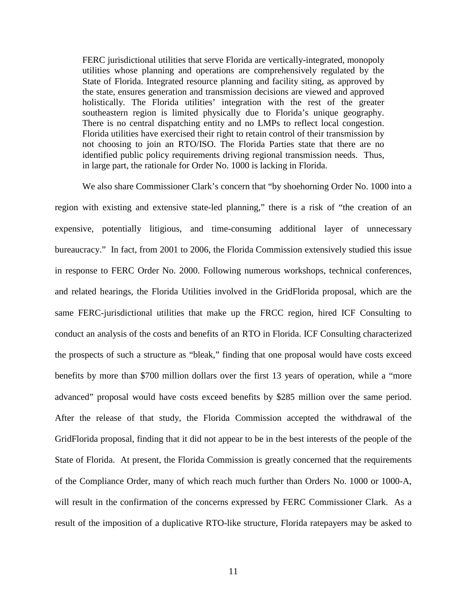FERC jurisdictional utilities that serve Florida are vertically-integrated, monopoly utilities whose planning and operations are comprehensively regulated by the State of Florida. Integrated resource planning and facility siting, as approved by the state, ensures generation and transmission decisions are viewed and approved holistically. The Florida utilities' integration with the rest of the greater southeastern region is limited physically due to Florida's unique geography. There is no central dispatching entity and no LMPs to reflect local congestion. Florida utilities have exercised their right to retain control of their transmission by not choosing to join an RTO/ISO. The Florida Parties state that there are no identified public policy requirements driving regional transmission needs. Thus, in large part, the rationale for Order No. 1000 is lacking in Florida.

We also share Commissioner Clark's concern that "by shoehorning Order No. 1000 into a region with existing and extensive state-led planning," there is a risk of "the creation of an expensive, potentially litigious, and time-consuming additional layer of unnecessary bureaucracy." In fact, from 2001 to 2006, the Florida Commission extensively studied this issue in response to FERC Order No. 2000. Following numerous workshops, technical conferences, and related hearings, the Florida Utilities involved in the GridFlorida proposal, which are the same FERC-jurisdictional utilities that make up the FRCC region, hired ICF Consulting to conduct an analysis of the costs and benefits of an RTO in Florida. ICF Consulting characterized the prospects of such a structure as "bleak," finding that one proposal would have costs exceed benefits by more than \$700 million dollars over the first 13 years of operation, while a "more advanced" proposal would have costs exceed benefits by \$285 million over the same period. After the release of that study, the Florida Commission accepted the withdrawal of the GridFlorida proposal, finding that it did not appear to be in the best interests of the people of the State of Florida. At present, the Florida Commission is greatly concerned that the requirements of the Compliance Order, many of which reach much further than Orders No. 1000 or 1000-A, will result in the confirmation of the concerns expressed by FERC Commissioner Clark. As a result of the imposition of a duplicative RTO-like structure, Florida ratepayers may be asked to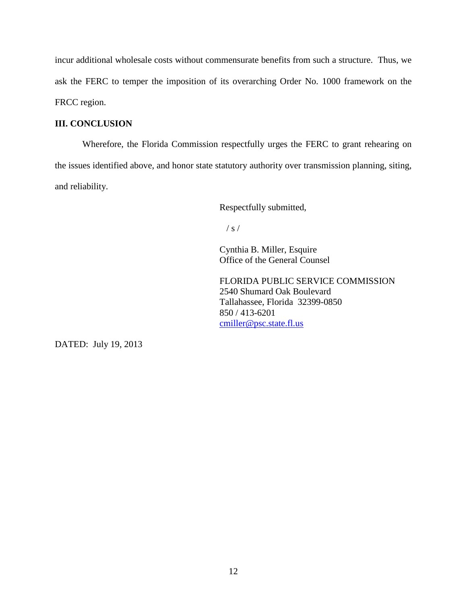incur additional wholesale costs without commensurate benefits from such a structure. Thus, we ask the FERC to temper the imposition of its overarching Order No. 1000 framework on the FRCC region.

# **III. CONCLUSION**

Wherefore, the Florida Commission respectfully urges the FERC to grant rehearing on the issues identified above, and honor state statutory authority over transmission planning, siting, and reliability.

Respectfully submitted,

 $/ s /$ 

Cynthia B. Miller, Esquire Office of the General Counsel

FLORIDA PUBLIC SERVICE COMMISSION 2540 Shumard Oak Boulevard Tallahassee, Florida 32399-0850 850 / 413-6201 [cmiller@psc.state.fl.us](mailto:cmiller@psc.state.fl.us)

DATED: July 19, 2013